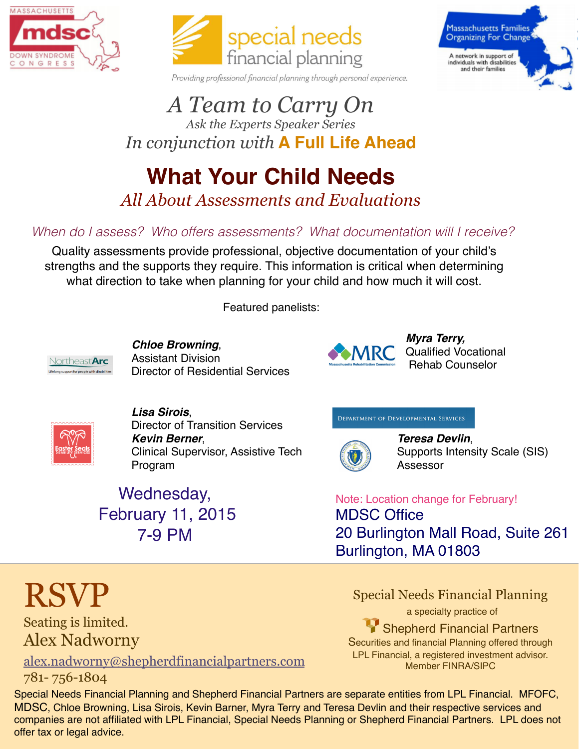



Providing professional financial planning through personal experience.

### *A Team to Carry On Ask the Experts Speaker Series*



# *In conjunction with* **A Full Life Ahead**

### **What Your Child Needs** *All About Assessments and Evaluations*

#### *When do I assess? Who offers assessments? What documentation will I receive?*

Quality assessments provide professional, objective documentation of your child's strengths and the supports they require. This information is critical when determining what direction to take when planning for your child and how much it will cost.

Featured panelists:



*Chloe Browning*, Assistant Division Director of Residential Services



*Myra Terry,* Qualified Vocational Rehab Counselor



#### *Lisa Sirois*,

Wednesday,

February 11, 2015

7-9 PM

Director of Transition Services *Kevin Berner*, Clinical Supervisor, Assistive Tech Program

#### DEPARTMENT OF DEVELOPMENTAL SERVICES



*Teresa Devlin*, Supports Intensity Scale (SIS) Assessor

#### Note: Location change for February! MDSC Office 20 Burlington Mall Road, Suite 261 Burlington, MA 01803

Special Needs Financial Planning

a specialty practice of Shepherd Financial Partners Securities and financial Planning offered through LPL Financial, a registered investment advisor. Member FINRA/SIPC

# RSVP

Seating is limited. Alex Nadworny

alex.nadworny@shepherdfinancialpartners.com 781- 756-1804

Special Needs Financial Planning and Shepherd Financial Partners are separate entities from LPL Financial. MFOFC, MDSC, Chloe Browning, Lisa Sirois, Kevin Barner, Myra Terry and Teresa Devlin and their respective services and companies are not affiliated with LPL Financial, Special Needs Planning or Shepherd Financial Partners. LPL does not offer tax or legal advice.